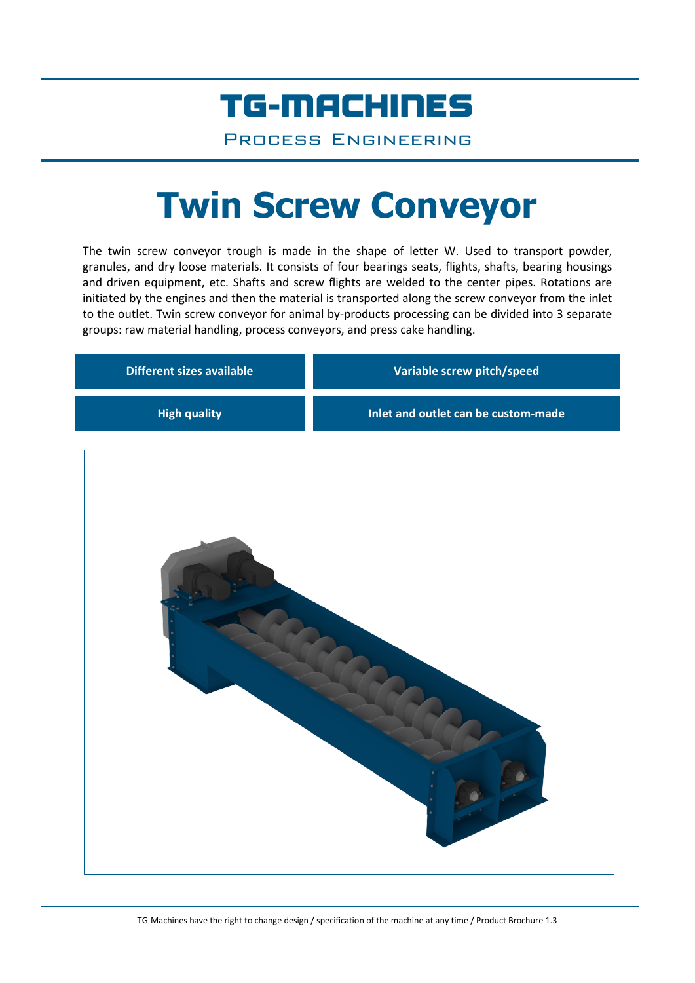## TG-MACHINES

Process Engineering

# **Twin Screw Conveyor**

The twin screw conveyor trough is made in the shape of letter W. Used to transport powder, granules, and dry loose materials. It consists of four bearings seats, flights, shafts, bearing housings and driven equipment, etc. Shafts and screw flights are welded to the center pipes. Rotations are initiated by the engines and then the material is transported along the screw conveyor from the inlet to the outlet. Twin screw conveyor for animal by-products processing can be divided into 3 separate groups: raw material handling, process conveyors, and press cake handling.